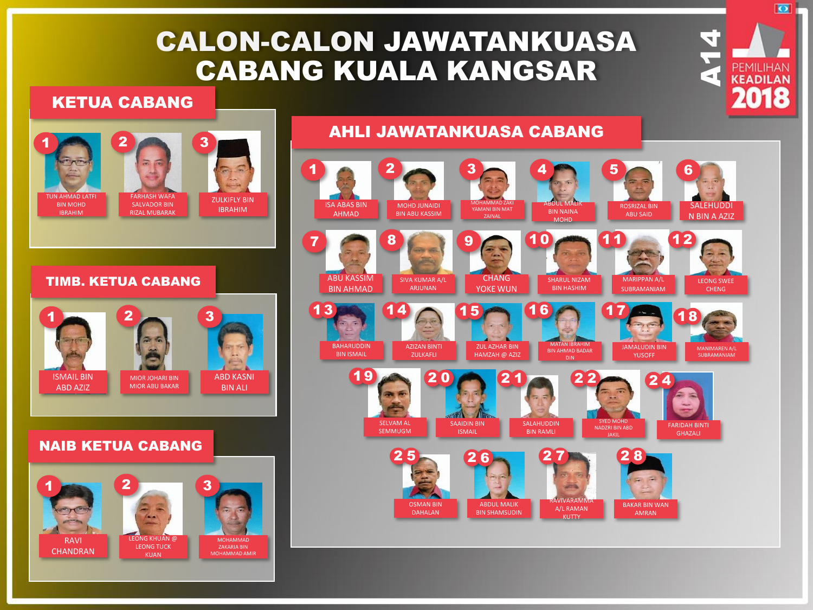# CALON-CALON JAWATANKUASA CABANG KUALA KANGSAR

#### KETUA CABANG





#### TIMB. KETUA CABANG



#### NAIB KETUA CABANG



#### $1 2 3 3 4 5 6$ ISA ABAS BIN MOHD JUNAIDI MOHAMMAD ZAKI YAMANI BIN MAT ABDUL MALIK ROSRIZAL BIN SALEHUDDI BIN NAINA BIN ABU KASSIM AHMAD ABU SAID N BIN A AZIZ ZAINAL MOHD  $7$  8 8 9 9 10 11 12 ABU KASSIM **CHANG** MARIPPAN A/L SIVA KUMAR A/L SHARUL NIZAM LEONG SWEE BIN AHMAD ARJUNAN YOKE WUN BIN HASHIM SUBRAMANIAM CHENG  $13$  14  $\odot$  15  $\odot$  16  $\odot$  17  $\odot$  18 **BAHARUDDIN** AZIZAN BINTI ZUL AZHAR BIN MATAN IBRAHIM JAMALUDIN BIN MANIMAREN A/L BIN AHMAD BADAR BIN ISMAIL ZULKAFLI HAMZAH @ AZIZ YUSOFF SUBRAMANIAM  $19 \rightarrow 20 \rightarrow 21 \rightarrow 22 \rightarrow 24$  $\rightarrow$  6 SELVAM AL **SALAHUDDIN** SYED MOHD NADZRI BIN ABD SAAIDIN BIN FARIDAH BINTI SEMMUGM ISMAIL BIN RAMLI **GHAZALI** JAKIL  $25 - 26 - 27$  28 200 RAVIVARAMMA OSMAN BIN ABDUL MALIK BAKAR BIN WAN A/L RAMAN DAHALAN BIN SHAMSUDIN AMRAN

**KUTTY** 

 $\frac{1}{4}$ 

 $\overline{\bullet}$ 

# AHLI JAWATANKUASA CABANG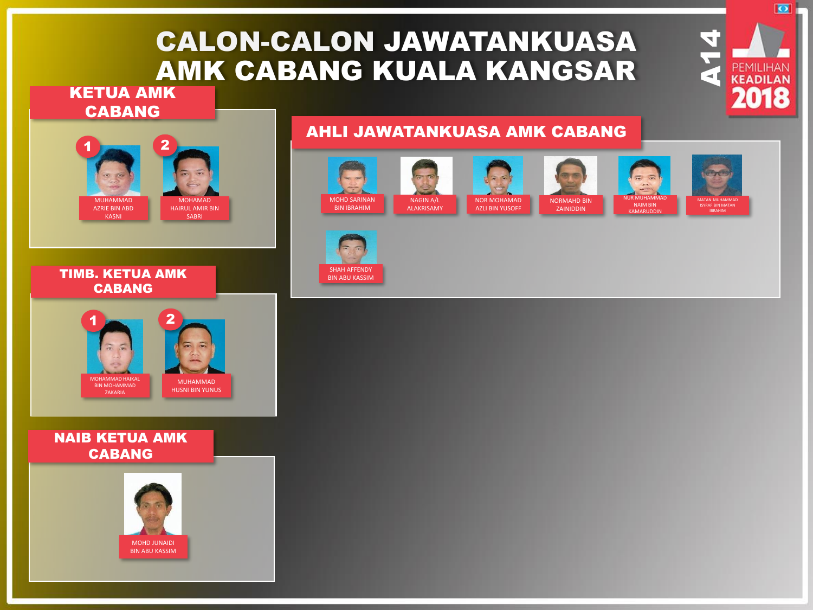# CALON-CALON JAWATANKUASA AMK CABANG KUALA KANGSAR

## KETUA AMK CABANG



# AHLI JAWATANKUASA AMK CABANG



 $\frac{1}{4}$ 

 $\overline{\bullet}$ 



TIMB. KETUA AMK CABANG



### NAIB KETUA AMK CABANG